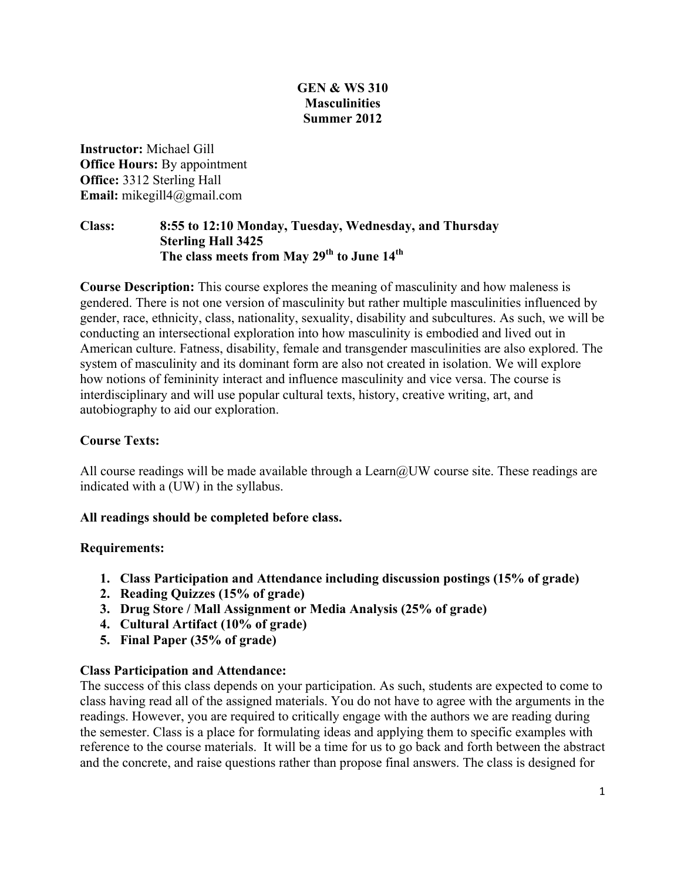### **GEN & WS 310 Masculinities Summer 2012**

**Instructor:** Michael Gill **Office Hours:** By appointment **Office:** 3312 Sterling Hall **Email:** mikegill4@gmail.com

### **Class: 8:55 to 12:10 Monday, Tuesday, Wednesday, and Thursday Sterling Hall 3425 The class meets from May 29th to June 14th**

**Course Description:** This course explores the meaning of masculinity and how maleness is gendered. There is not one version of masculinity but rather multiple masculinities influenced by gender, race, ethnicity, class, nationality, sexuality, disability and subcultures. As such, we will be conducting an intersectional exploration into how masculinity is embodied and lived out in American culture. Fatness, disability, female and transgender masculinities are also explored. The system of masculinity and its dominant form are also not created in isolation. We will explore how notions of femininity interact and influence masculinity and vice versa. The course is interdisciplinary and will use popular cultural texts, history, creative writing, art, and autobiography to aid our exploration.

### **Course Texts:**

All course readings will be made available through a Learn $@UW$  course site. These readings are indicated with a (UW) in the syllabus.

### **All readings should be completed before class.**

### **Requirements:**

- **1. Class Participation and Attendance including discussion postings (15% of grade)**
- **2. Reading Quizzes (15% of grade)**
- **3. Drug Store / Mall Assignment or Media Analysis (25% of grade)**
- **4. Cultural Artifact (10% of grade)**
- **5. Final Paper (35% of grade)**

### **Class Participation and Attendance:**

The success of this class depends on your participation. As such, students are expected to come to class having read all of the assigned materials. You do not have to agree with the arguments in the readings. However, you are required to critically engage with the authors we are reading during the semester. Class is a place for formulating ideas and applying them to specific examples with reference to the course materials. It will be a time for us to go back and forth between the abstract and the concrete, and raise questions rather than propose final answers. The class is designed for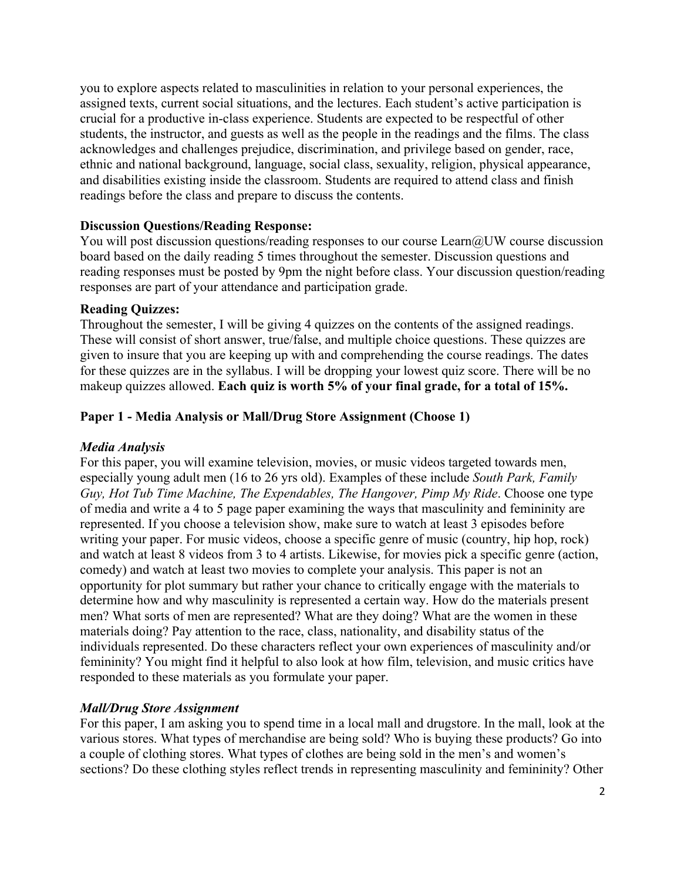you to explore aspects related to masculinities in relation to your personal experiences, the assigned texts, current social situations, and the lectures. Each student's active participation is crucial for a productive in-class experience. Students are expected to be respectful of other students, the instructor, and guests as well as the people in the readings and the films. The class acknowledges and challenges prejudice, discrimination, and privilege based on gender, race, ethnic and national background, language, social class, sexuality, religion, physical appearance, and disabilities existing inside the classroom. Students are required to attend class and finish readings before the class and prepare to discuss the contents.

### **Discussion Questions/Reading Response:**

You will post discussion questions/reading responses to our course Learn@UW course discussion board based on the daily reading 5 times throughout the semester. Discussion questions and reading responses must be posted by 9pm the night before class. Your discussion question/reading responses are part of your attendance and participation grade.

### **Reading Quizzes:**

Throughout the semester, I will be giving 4 quizzes on the contents of the assigned readings. These will consist of short answer, true/false, and multiple choice questions. These quizzes are given to insure that you are keeping up with and comprehending the course readings. The dates for these quizzes are in the syllabus. I will be dropping your lowest quiz score. There will be no makeup quizzes allowed. **Each quiz is worth 5% of your final grade, for a total of 15%.** 

### **Paper 1 - Media Analysis or Mall/Drug Store Assignment (Choose 1)**

### *Media Analysis*

For this paper, you will examine television, movies, or music videos targeted towards men, especially young adult men (16 to 26 yrs old). Examples of these include *South Park, Family Guy, Hot Tub Time Machine, The Expendables, The Hangover, Pimp My Ride*. Choose one type of media and write a 4 to 5 page paper examining the ways that masculinity and femininity are represented. If you choose a television show, make sure to watch at least 3 episodes before writing your paper. For music videos, choose a specific genre of music (country, hip hop, rock) and watch at least 8 videos from 3 to 4 artists. Likewise, for movies pick a specific genre (action, comedy) and watch at least two movies to complete your analysis. This paper is not an opportunity for plot summary but rather your chance to critically engage with the materials to determine how and why masculinity is represented a certain way. How do the materials present men? What sorts of men are represented? What are they doing? What are the women in these materials doing? Pay attention to the race, class, nationality, and disability status of the individuals represented. Do these characters reflect your own experiences of masculinity and/or femininity? You might find it helpful to also look at how film, television, and music critics have responded to these materials as you formulate your paper.

### *Mall/Drug Store Assignment*

For this paper, I am asking you to spend time in a local mall and drugstore. In the mall, look at the various stores. What types of merchandise are being sold? Who is buying these products? Go into a couple of clothing stores. What types of clothes are being sold in the men's and women's sections? Do these clothing styles reflect trends in representing masculinity and femininity? Other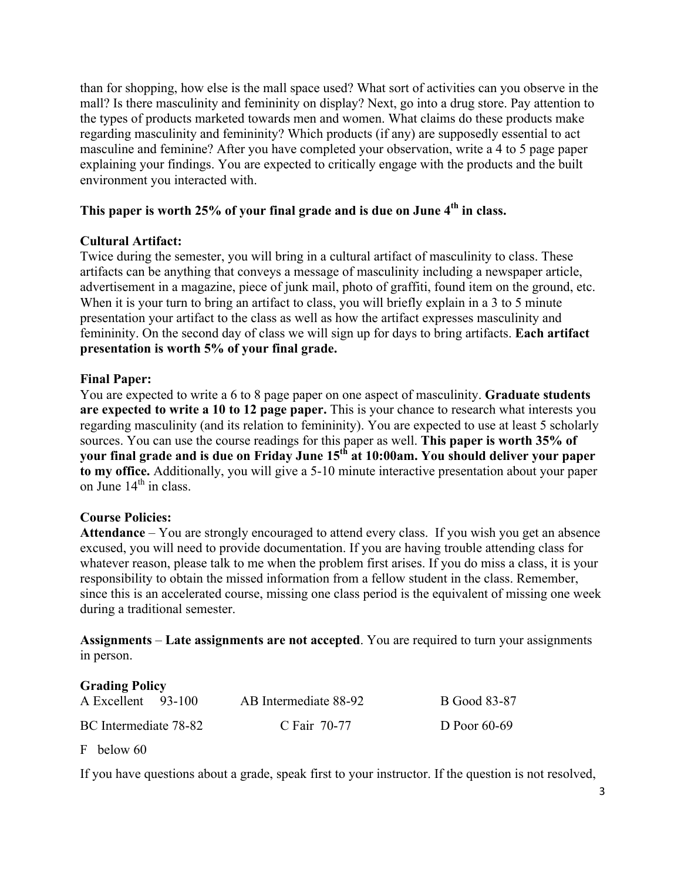than for shopping, how else is the mall space used? What sort of activities can you observe in the mall? Is there masculinity and femininity on display? Next, go into a drug store. Pay attention to the types of products marketed towards men and women. What claims do these products make regarding masculinity and femininity? Which products (if any) are supposedly essential to act masculine and feminine? After you have completed your observation, write a 4 to 5 page paper explaining your findings. You are expected to critically engage with the products and the built environment you interacted with.

### This paper is worth 25% of your final grade and is due on June 4<sup>th</sup> in class.

### **Cultural Artifact:**

Twice during the semester, you will bring in a cultural artifact of masculinity to class. These artifacts can be anything that conveys a message of masculinity including a newspaper article, advertisement in a magazine, piece of junk mail, photo of graffiti, found item on the ground, etc. When it is your turn to bring an artifact to class, you will briefly explain in a 3 to 5 minute presentation your artifact to the class as well as how the artifact expresses masculinity and femininity. On the second day of class we will sign up for days to bring artifacts. **Each artifact presentation is worth 5% of your final grade.**

### **Final Paper:**

You are expected to write a 6 to 8 page paper on one aspect of masculinity. **Graduate students are expected to write a 10 to 12 page paper.** This is your chance to research what interests you regarding masculinity (and its relation to femininity). You are expected to use at least 5 scholarly sources. You can use the course readings for this paper as well. **This paper is worth 35% of your final grade and is due on Friday June 15th at 10:00am. You should deliver your paper to my office.** Additionally, you will give a 5-10 minute interactive presentation about your paper on June  $14<sup>th</sup>$  in class.

### **Course Policies:**

**Attendance** – You are strongly encouraged to attend every class. If you wish you get an absence excused, you will need to provide documentation. If you are having trouble attending class for whatever reason, please talk to me when the problem first arises. If you do miss a class, it is your responsibility to obtain the missed information from a fellow student in the class. Remember, since this is an accelerated course, missing one class period is the equivalent of missing one week during a traditional semester.

**Assignments** – **Late assignments are not accepted**. You are required to turn your assignments in person.

# **Grading Policy**  A Excellent 93-100 AB Intermediate 88-92 B Good 83-87 BC Intermediate 78-82 C Fair 70-77 D Poor 60-69

F below 60

If you have questions about a grade, speak first to your instructor. If the question is not resolved,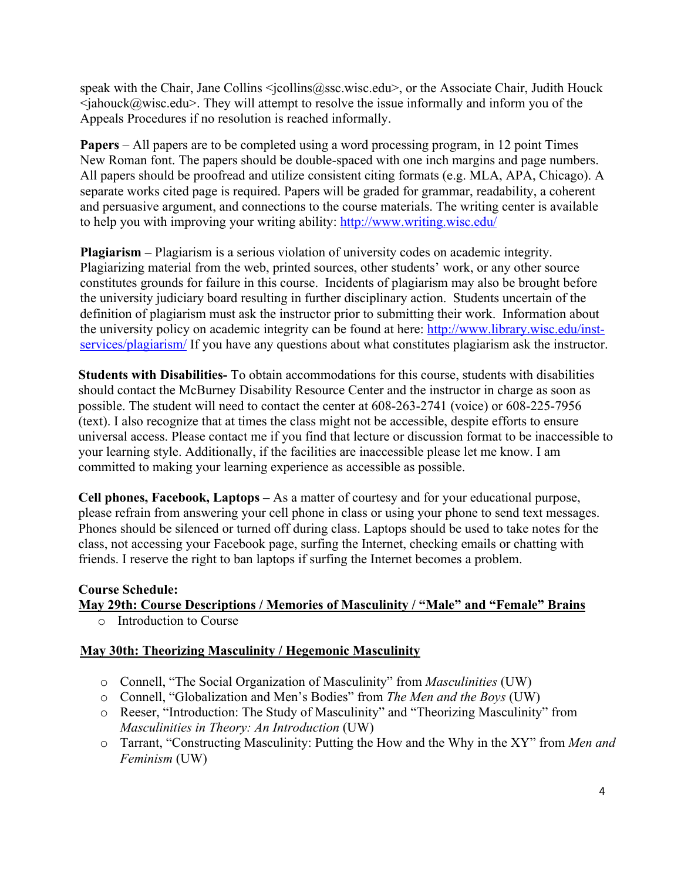speak with the Chair, Jane Collins <jcollins@ssc.wisc.edu>, or the Associate Chair, Judith Houck  $\leq$ jahouck $\omega$ wisc.edu $\geq$ . They will attempt to resolve the issue informally and inform you of the Appeals Procedures if no resolution is reached informally.

**Papers** – All papers are to be completed using a word processing program, in 12 point Times New Roman font. The papers should be double-spaced with one inch margins and page numbers. All papers should be proofread and utilize consistent citing formats (e.g. MLA, APA, Chicago). A separate works cited page is required. Papers will be graded for grammar, readability, a coherent and persuasive argument, and connections to the course materials. The writing center is available to help you with improving your writing ability: http://www.writing.wisc.edu/

**Plagiarism –** Plagiarism is a serious violation of university codes on academic integrity. Plagiarizing material from the web, printed sources, other students' work, or any other source constitutes grounds for failure in this course. Incidents of plagiarism may also be brought before the university judiciary board resulting in further disciplinary action. Students uncertain of the definition of plagiarism must ask the instructor prior to submitting their work. Information about the university policy on academic integrity can be found at here: http://www.library.wisc.edu/instservices/plagiarism/ If you have any questions about what constitutes plagiarism ask the instructor.

**Students with Disabilities-** To obtain accommodations for this course, students with disabilities should contact the McBurney Disability Resource Center and the instructor in charge as soon as possible. The student will need to contact the center at 608-263-2741 (voice) or 608-225-7956 (text). I also recognize that at times the class might not be accessible, despite efforts to ensure universal access. Please contact me if you find that lecture or discussion format to be inaccessible to your learning style. Additionally, if the facilities are inaccessible please let me know. I am committed to making your learning experience as accessible as possible.

**Cell phones, Facebook, Laptops –** As a matter of courtesy and for your educational purpose, please refrain from answering your cell phone in class or using your phone to send text messages. Phones should be silenced or turned off during class. Laptops should be used to take notes for the class, not accessing your Facebook page, surfing the Internet, checking emails or chatting with friends. I reserve the right to ban laptops if surfing the Internet becomes a problem.

### **Course Schedule:**

# **May 29th: Course Descriptions / Memories of Masculinity / "Male" and "Female" Brains**

o Introduction to Course

### **May 30th: Theorizing Masculinity / Hegemonic Masculinity**

- o Connell, "The Social Organization of Masculinity" from *Masculinities* (UW)
- o Connell, "Globalization and Men's Bodies" from *The Men and the Boys* (UW)
- o Reeser, "Introduction: The Study of Masculinity" and "Theorizing Masculinity" from *Masculinities in Theory: An Introduction* (UW)
- o Tarrant, "Constructing Masculinity: Putting the How and the Why in the XY" from *Men and Feminism* (UW)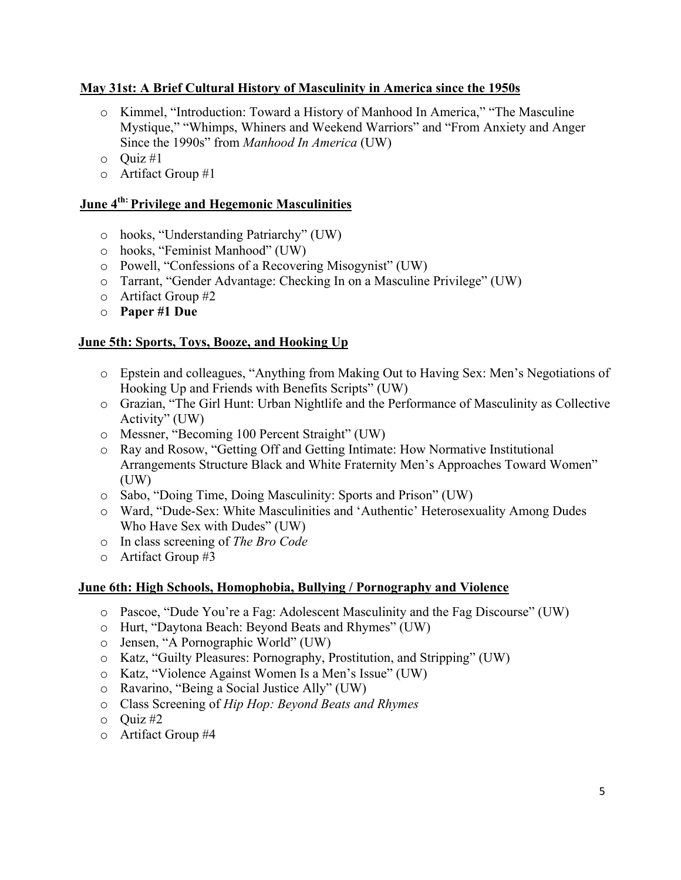### **May 31st: A Brief Cultural History of Masculinity in America since the 1950s**

- o Kimmel, "Introduction: Toward a History of Manhood In America," "The Masculine Mystique," "Whimps, Whiners and Weekend Warriors" and "From Anxiety and Anger Since the 1990s" from *Manhood In America* (UW)
- o Quiz #1
- o Artifact Group #1

## **June 4th: Privilege and Hegemonic Masculinities**

- o hooks, "Understanding Patriarchy" (UW)
- o hooks, "Feminist Manhood" (UW)
- o Powell, "Confessions of a Recovering Misogynist" (UW)
- o Tarrant, "Gender Advantage: Checking In on a Masculine Privilege" (UW)
- o Artifact Group #2
- o **Paper #1 Due**

## **June 5th: Sports, Toys, Booze, and Hooking Up**

- o Epstein and colleagues, "Anything from Making Out to Having Sex: Men's Negotiations of Hooking Up and Friends with Benefits Scripts" (UW)
- o Grazian, "The Girl Hunt: Urban Nightlife and the Performance of Masculinity as Collective Activity" (UW)
- o Messner, "Becoming 100 Percent Straight" (UW)
- o Ray and Rosow, "Getting Off and Getting Intimate: How Normative Institutional Arrangements Structure Black and White Fraternity Men's Approaches Toward Women" (UW)
- o Sabo, "Doing Time, Doing Masculinity: Sports and Prison" (UW)
- o Ward, "Dude-Sex: White Masculinities and 'Authentic' Heterosexuality Among Dudes Who Have Sex with Dudes" (UW)
- o In class screening of *The Bro Code*
- o Artifact Group #3

### **June 6th: High Schools, Homophobia, Bullying / Pornography and Violence**

- o Pascoe, "Dude You're a Fag: Adolescent Masculinity and the Fag Discourse" (UW)
- o Hurt, "Daytona Beach: Beyond Beats and Rhymes" (UW)
- o Jensen, "A Pornographic World" (UW)
- o Katz, "Guilty Pleasures: Pornography, Prostitution, and Stripping" (UW)
- o Katz, "Violence Against Women Is a Men's Issue" (UW)
- o Ravarino, "Being a Social Justice Ally" (UW)
- o Class Screening of *Hip Hop: Beyond Beats and Rhymes*
- $\circ$  Quiz #2
- o Artifact Group #4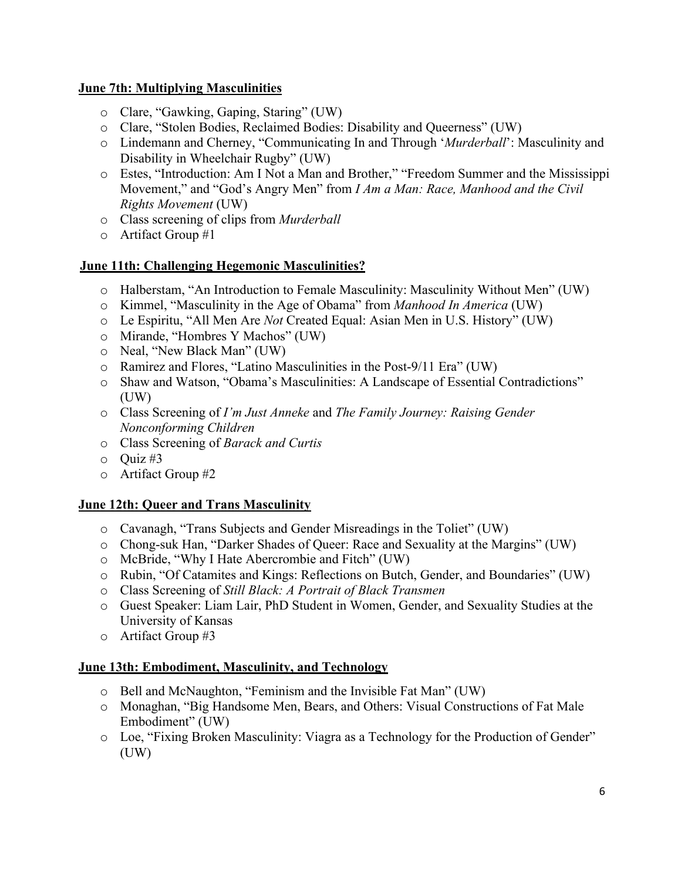### **June 7th: Multiplying Masculinities**

- o Clare, "Gawking, Gaping, Staring" (UW)
- o Clare, "Stolen Bodies, Reclaimed Bodies: Disability and Queerness" (UW)
- o Lindemann and Cherney, "Communicating In and Through '*Murderball*': Masculinity and Disability in Wheelchair Rugby" (UW)
- o Estes, "Introduction: Am I Not a Man and Brother," "Freedom Summer and the Mississippi Movement," and "God's Angry Men" from *I Am a Man: Race, Manhood and the Civil Rights Movement* (UW)
- o Class screening of clips from *Murderball*
- $\circ$  Artifact Group #1

# **June 11th: Challenging Hegemonic Masculinities?**

- o Halberstam, "An Introduction to Female Masculinity: Masculinity Without Men" (UW)
- o Kimmel, "Masculinity in the Age of Obama" from *Manhood In America* (UW)
- o Le Espiritu, "All Men Are *Not* Created Equal: Asian Men in U.S. History" (UW)
- o Mirande, "Hombres Y Machos" (UW)
- o Neal, "New Black Man" (UW)
- o Ramirez and Flores, "Latino Masculinities in the Post-9/11 Era" (UW)
- o Shaw and Watson, "Obama's Masculinities: A Landscape of Essential Contradictions" (UW)
- o Class Screening of *I'm Just Anneke* and *The Family Journey: Raising Gender Nonconforming Children*
- o Class Screening of *Barack and Curtis*
- $\circ$  Quiz #3
- o Artifact Group #2

# **June 12th: Queer and Trans Masculinity**

- o Cavanagh, "Trans Subjects and Gender Misreadings in the Toliet" (UW)
- o Chong-suk Han, "Darker Shades of Queer: Race and Sexuality at the Margins" (UW)
- o McBride, "Why I Hate Abercrombie and Fitch" (UW)
- o Rubin, "Of Catamites and Kings: Reflections on Butch, Gender, and Boundaries" (UW)
- o Class Screening of *Still Black: A Portrait of Black Transmen*
- o Guest Speaker: Liam Lair, PhD Student in Women, Gender, and Sexuality Studies at the University of Kansas
- o Artifact Group #3

# **June 13th: Embodiment, Masculinity, and Technology**

- o Bell and McNaughton, "Feminism and the Invisible Fat Man" (UW)
- o Monaghan, "Big Handsome Men, Bears, and Others: Visual Constructions of Fat Male Embodiment" (UW)
- o Loe, "Fixing Broken Masculinity: Viagra as a Technology for the Production of Gender" (UW)